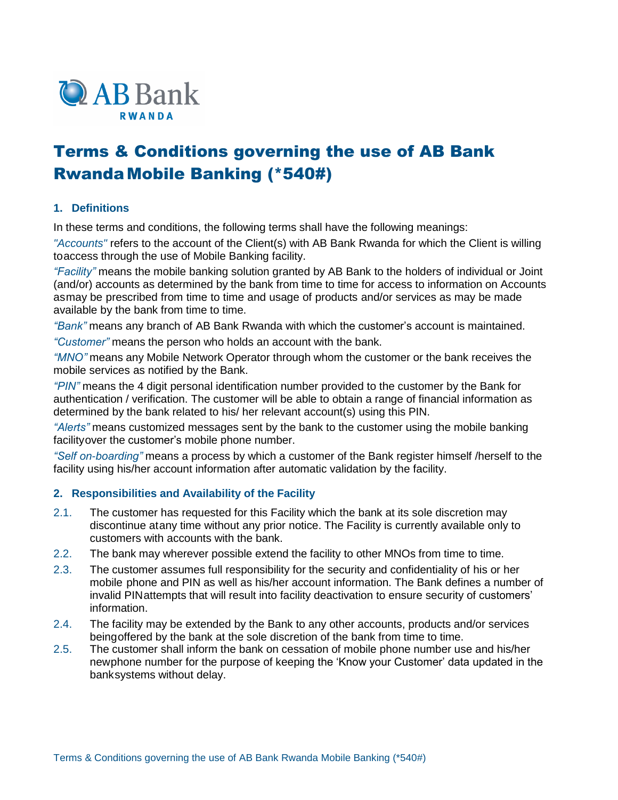

# Terms & Conditions governing the use of AB Bank RwandaMobile Banking (\*540#)

# **1. Definitions**

In these terms and conditions, the following terms shall have the following meanings:

*"Accounts"* refers to the account of the Client(s) with AB Bank Rwanda for which the Client is willing toaccess through the use of Mobile Banking facility.

*"Facility"* means the mobile banking solution granted by AB Bank to the holders of individual or Joint (and/or) accounts as determined by the bank from time to time for access to information on Accounts asmay be prescribed from time to time and usage of products and/or services as may be made available by the bank from time to time.

*"Bank"* means any branch of AB Bank Rwanda with which the customer's account is maintained.

*"Customer"* means the person who holds an account with the bank.

*"MNO"* means any Mobile Network Operator through whom the customer or the bank receives the mobile services as notified by the Bank.

*"PIN"* means the 4 digit personal identification number provided to the customer by the Bank for authentication / verification. The customer will be able to obtain a range of financial information as determined by the bank related to his/ her relevant account(s) using this PIN.

*"Alerts"* means customized messages sent by the bank to the customer using the mobile banking facilityover the customer's mobile phone number.

*"Self on-boarding"* means a process by which a customer of the Bank register himself /herself to the facility using his/her account information after automatic validation by the facility.

## **2. Responsibilities and Availability of the Facility**

- 2.1. The customer has requested for this Facility which the bank at its sole discretion may discontinue atany time without any prior notice. The Facility is currently available only to customers with accounts with the bank.
- 2.2. The bank may wherever possible extend the facility to other MNOs from time to time.
- 2.3. The customer assumes full responsibility for the security and confidentiality of his or her mobile phone and PIN as well as his/her account information. The Bank defines a number of invalid PINattempts that will result into facility deactivation to ensure security of customers' information.
- 2.4. The facility may be extended by the Bank to any other accounts, products and/or services beingoffered by the bank at the sole discretion of the bank from time to time.
- 2.5. The customer shall inform the bank on cessation of mobile phone number use and his/her newphone number for the purpose of keeping the 'Know your Customer' data updated in the banksystems without delay.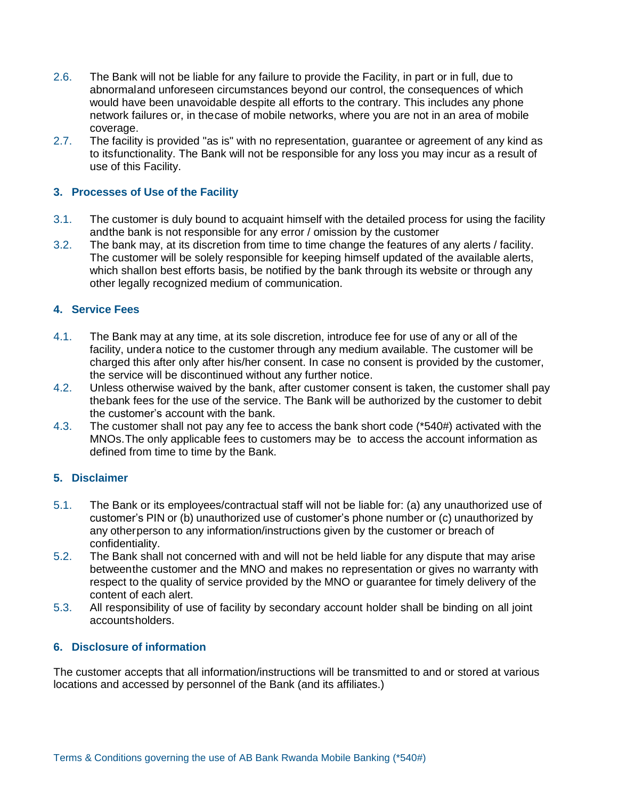- 2.6. The Bank will not be liable for any failure to provide the Facility, in part or in full, due to abnormaland unforeseen circumstances beyond our control, the consequences of which would have been unavoidable despite all efforts to the contrary. This includes any phone network failures or, in thecase of mobile networks, where you are not in an area of mobile coverage.
- 2.7. The facility is provided "as is" with no representation, guarantee or agreement of any kind as to itsfunctionality. The Bank will not be responsible for any loss you may incur as a result of use of this Facility.

## **3. Processes of Use of the Facility**

- 3.1. The customer is duly bound to acquaint himself with the detailed process for using the facility andthe bank is not responsible for any error / omission by the customer
- 3.2. The bank may, at its discretion from time to time change the features of any alerts / facility. The customer will be solely responsible for keeping himself updated of the available alerts, which shallon best efforts basis, be notified by the bank through its website or through any other legally recognized medium of communication.

## **4. Service Fees**

- 4.1. The Bank may at any time, at its sole discretion, introduce fee for use of any or all of the facility, undera notice to the customer through any medium available. The customer will be charged this after only after his/her consent. In case no consent is provided by the customer, the service will be discontinued without any further notice.
- 4.2. Unless otherwise waived by the bank, after customer consent is taken, the customer shall pay thebank fees for the use of the service. The Bank will be authorized by the customer to debit the customer's account with the bank.
- 4.3. The customer shall not pay any fee to access the bank short code (\*540#) activated with the MNOs.The only applicable fees to customers may be to access the account information as defined from time to time by the Bank.

## **5. Disclaimer**

- 5.1. The Bank or its employees/contractual staff will not be liable for: (a) any unauthorized use of customer's PIN or (b) unauthorized use of customer's phone number or (c) unauthorized by any otherperson to any information/instructions given by the customer or breach of confidentiality.
- 5.2. The Bank shall not concerned with and will not be held liable for any dispute that may arise betweenthe customer and the MNO and makes no representation or gives no warranty with respect to the quality of service provided by the MNO or guarantee for timely delivery of the content of each alert.
- 5.3. All responsibility of use of facility by secondary account holder shall be binding on all joint accountsholders.

## **6. Disclosure of information**

The customer accepts that all information/instructions will be transmitted to and or stored at various locations and accessed by personnel of the Bank (and its affiliates.)